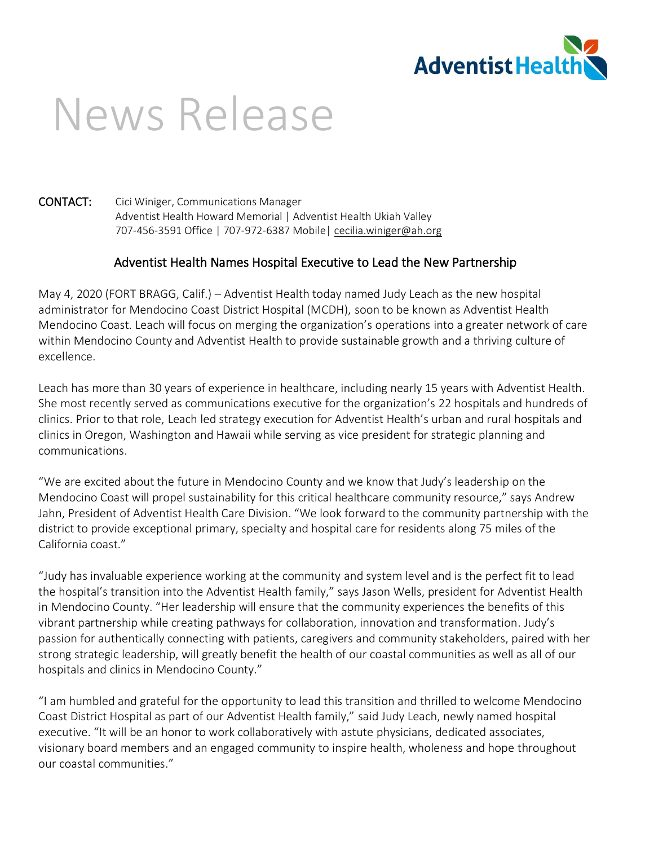

## News Release

## CONTACT: Cici Winiger, Communications Manager Adventist Health Howard Memorial | Adventist Health Ukiah Valley 707-456-3591 Office | 707-972-6387 Mobile[| cecilia.winiger@ah.org](mailto:cecilia.winiger@ah.org)

## Adventist Health Names Hospital Executive to Lead the New Partnership

May 4, 2020 (FORT BRAGG, Calif.) – Adventist Health today named Judy Leach as the new hospital administrator for Mendocino Coast District Hospital (MCDH), soon to be known as Adventist Health Mendocino Coast. Leach will focus on merging the organization's operations into a greater network of care within Mendocino County and Adventist Health to provide sustainable growth and a thriving culture of excellence.

Leach has more than 30 years of experience in healthcare, including nearly 15 years with Adventist Health. She most recently served as communications executive for the organization's 22 hospitals and hundreds of clinics. Prior to that role, Leach led strategy execution for Adventist Health's urban and rural hospitals and clinics in Oregon, Washington and Hawaii while serving as vice president for strategic planning and communications.

"We are excited about the future in Mendocino County and we know that Judy's leadership on the Mendocino Coast will propel sustainability for this critical healthcare community resource," says Andrew Jahn, President of Adventist Health Care Division. "We look forward to the community partnership with the district to provide exceptional primary, specialty and hospital care for residents along 75 miles of the California coast."

"Judy has invaluable experience working at the community and system level and is the perfect fit to lead the hospital's transition into the Adventist Health family," says Jason Wells, president for Adventist Health in Mendocino County. "Her leadership will ensure that the community experiences the benefits of this vibrant partnership while creating pathways for collaboration, innovation and transformation. Judy's passion for authentically connecting with patients, caregivers and community stakeholders, paired with her strong strategic leadership, will greatly benefit the health of our coastal communities as well as all of our hospitals and clinics in Mendocino County."

"I am humbled and grateful for the opportunity to lead this transition and thrilled to welcome Mendocino Coast District Hospital as part of our Adventist Health family," said Judy Leach, newly named hospital executive. "It will be an honor to work collaboratively with astute physicians, dedicated associates, visionary board members and an engaged community to inspire health, wholeness and hope throughout our coastal communities."